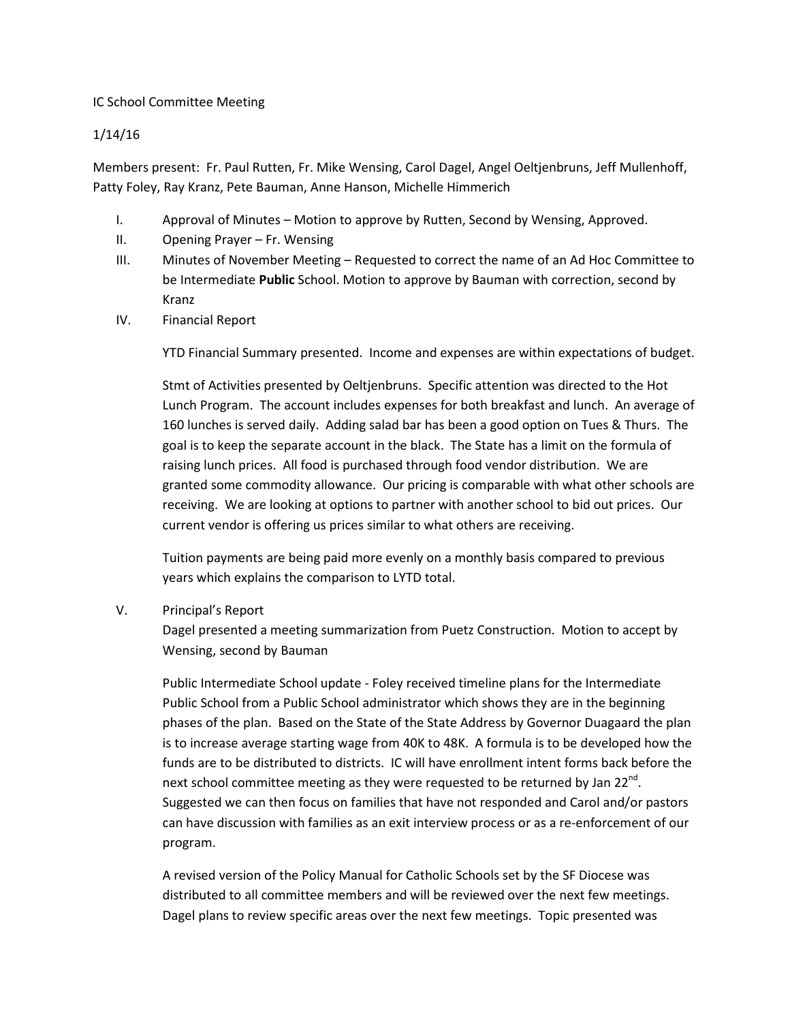## IC School Committee Meeting

## 1/14/16

Members present: Fr. Paul Rutten, Fr. Mike Wensing, Carol Dagel, Angel Oeltjenbruns, Jeff Mullenhoff, Patty Foley, Ray Kranz, Pete Bauman, Anne Hanson, Michelle Himmerich

- I. Approval of Minutes Motion to approve by Rutten, Second by Wensing, Approved.
- II. Opening Prayer Fr. Wensing
- III. Minutes of November Meeting Requested to correct the name of an Ad Hoc Committee to be Intermediate **Public** School. Motion to approve by Bauman with correction, second by Kranz
- IV. Financial Report

YTD Financial Summary presented. Income and expenses are within expectations of budget.

Stmt of Activities presented by Oeltjenbruns. Specific attention was directed to the Hot Lunch Program. The account includes expenses for both breakfast and lunch. An average of 160 lunches is served daily. Adding salad bar has been a good option on Tues & Thurs. The goal is to keep the separate account in the black. The State has a limit on the formula of raising lunch prices. All food is purchased through food vendor distribution. We are granted some commodity allowance. Our pricing is comparable with what other schools are receiving. We are looking at options to partner with another school to bid out prices. Our current vendor is offering us prices similar to what others are receiving.

Tuition payments are being paid more evenly on a monthly basis compared to previous years which explains the comparison to LYTD total.

## V. Principal's Report

Dagel presented a meeting summarization from Puetz Construction. Motion to accept by Wensing, second by Bauman

Public Intermediate School update - Foley received timeline plans for the Intermediate Public School from a Public School administrator which shows they are in the beginning phases of the plan. Based on the State of the State Address by Governor Duagaard the plan is to increase average starting wage from 40K to 48K. A formula is to be developed how the funds are to be distributed to districts. IC will have enrollment intent forms back before the next school committee meeting as they were requested to be returned by Jan 22 $^{\text{nd}}$ . Suggested we can then focus on families that have not responded and Carol and/or pastors can have discussion with families as an exit interview process or as a re-enforcement of our program.

A revised version of the Policy Manual for Catholic Schools set by the SF Diocese was distributed to all committee members and will be reviewed over the next few meetings. Dagel plans to review specific areas over the next few meetings. Topic presented was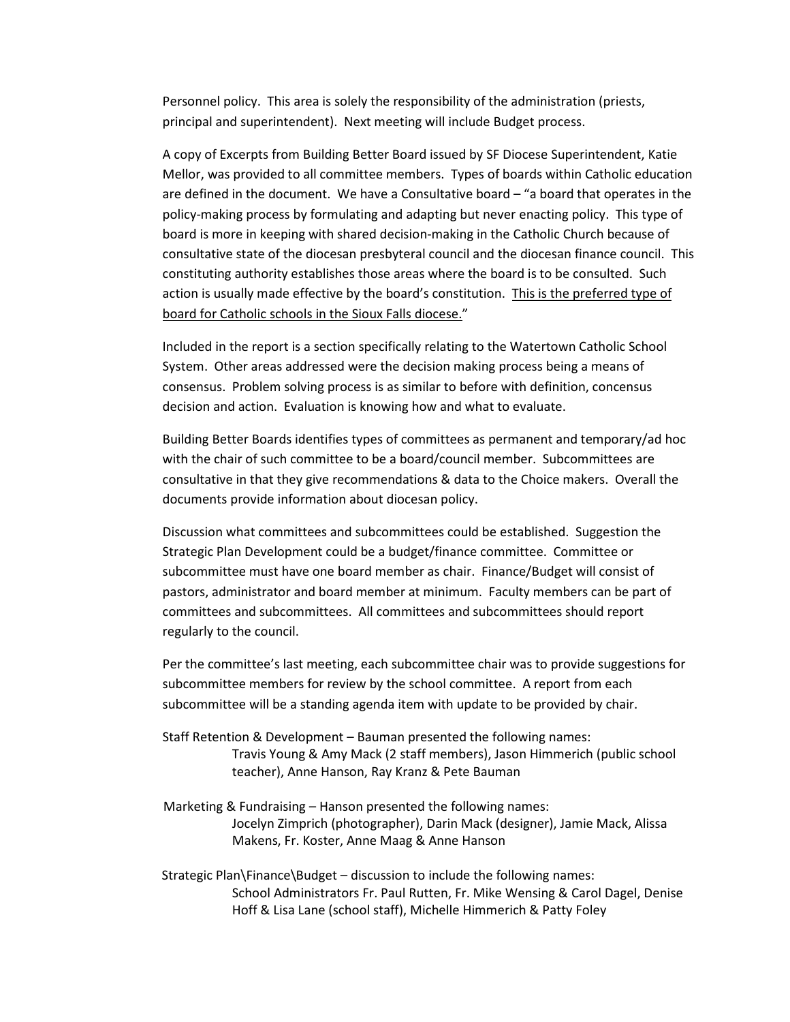Personnel policy. This area is solely the responsibility of the administration (priests, principal and superintendent). Next meeting will include Budget process.

A copy of Excerpts from Building Better Board issued by SF Diocese Superintendent, Katie Mellor, was provided to all committee members. Types of boards within Catholic education are defined in the document. We have a Consultative board – "a board that operates in the policy-making process by formulating and adapting but never enacting policy. This type of board is more in keeping with shared decision-making in the Catholic Church because of consultative state of the diocesan presbyteral council and the diocesan finance council. This constituting authority establishes those areas where the board is to be consulted. Such action is usually made effective by the board's constitution. This is the preferred type of board for Catholic schools in the Sioux Falls diocese."

Included in the report is a section specifically relating to the Watertown Catholic School System. Other areas addressed were the decision making process being a means of consensus. Problem solving process is as similar to before with definition, concensus decision and action. Evaluation is knowing how and what to evaluate.

Building Better Boards identifies types of committees as permanent and temporary/ad hoc with the chair of such committee to be a board/council member. Subcommittees are consultative in that they give recommendations & data to the Choice makers. Overall the documents provide information about diocesan policy.

Discussion what committees and subcommittees could be established. Suggestion the Strategic Plan Development could be a budget/finance committee. Committee or subcommittee must have one board member as chair. Finance/Budget will consist of pastors, administrator and board member at minimum. Faculty members can be part of committees and subcommittees. All committees and subcommittees should report regularly to the council.

Per the committee's last meeting, each subcommittee chair was to provide suggestions for subcommittee members for review by the school committee. A report from each subcommittee will be a standing agenda item with update to be provided by chair.

Staff Retention & Development – Bauman presented the following names: Travis Young & Amy Mack (2 staff members), Jason Himmerich (public school teacher), Anne Hanson, Ray Kranz & Pete Bauman

 Marketing & Fundraising – Hanson presented the following names: Jocelyn Zimprich (photographer), Darin Mack (designer), Jamie Mack, Alissa Makens, Fr. Koster, Anne Maag & Anne Hanson

 Strategic Plan\Finance\Budget – discussion to include the following names: School Administrators Fr. Paul Rutten, Fr. Mike Wensing & Carol Dagel, Denise Hoff & Lisa Lane (school staff), Michelle Himmerich & Patty Foley